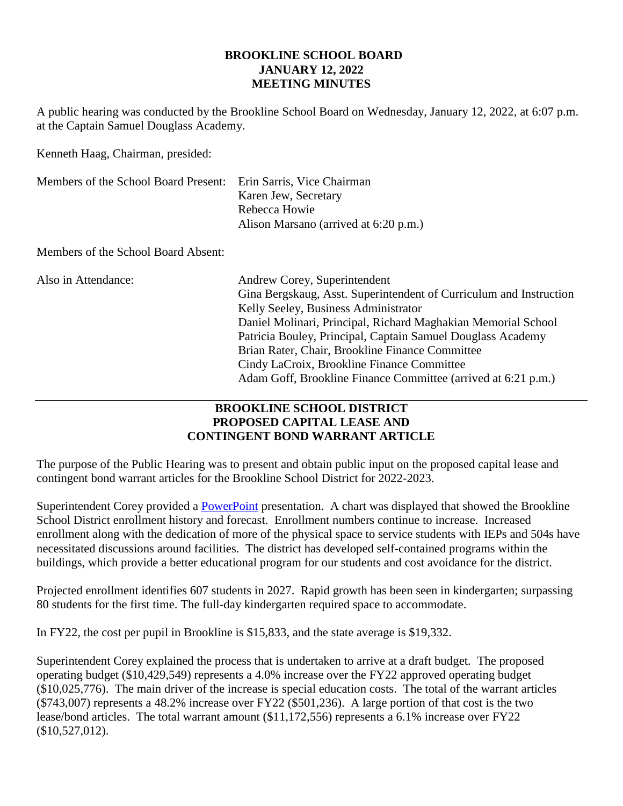#### **BROOKLINE SCHOOL BOARD JANUARY 12, 2022 MEETING MINUTES**

A public hearing was conducted by the Brookline School Board on Wednesday, January 12, 2022, at 6:07 p.m. at the Captain Samuel Douglass Academy.

Kenneth Haag, Chairman, presided:

| Members of the School Board Present: | Erin Sarris, Vice Chairman<br>Karen Jew, Secretary<br>Rebecca Howie<br>Alison Marsano (arrived at 6:20 p.m.)                                                                                                                                                                                                                                                                                                                                 |
|--------------------------------------|----------------------------------------------------------------------------------------------------------------------------------------------------------------------------------------------------------------------------------------------------------------------------------------------------------------------------------------------------------------------------------------------------------------------------------------------|
| Members of the School Board Absent:  |                                                                                                                                                                                                                                                                                                                                                                                                                                              |
| Also in Attendance:                  | Andrew Corey, Superintendent<br>Gina Bergskaug, Asst. Superintendent of Curriculum and Instruction<br>Kelly Seeley, Business Administrator<br>Daniel Molinari, Principal, Richard Maghakian Memorial School<br>Patricia Bouley, Principal, Captain Samuel Douglass Academy<br>Brian Rater, Chair, Brookline Finance Committee<br>Cindy LaCroix, Brookline Finance Committee<br>Adam Goff, Brookline Finance Committee (arrived at 6:21 p.m.) |

## **BROOKLINE SCHOOL DISTRICT PROPOSED CAPITAL LEASE AND CONTINGENT BOND WARRANT ARTICLE**

The purpose of the Public Hearing was to present and obtain public input on the proposed capital lease and contingent bond warrant articles for the Brookline School District for 2022-2023.

Superintendent Corey provided a [PowerPoint](https://townhallstreams.com/stream.php?location_id=54&id=42745) presentation. A chart was displayed that showed the Brookline School District enrollment history and forecast. Enrollment numbers continue to increase. Increased enrollment along with the dedication of more of the physical space to service students with IEPs and 504s have necessitated discussions around facilities. The district has developed self-contained programs within the buildings, which provide a better educational program for our students and cost avoidance for the district.

Projected enrollment identifies 607 students in 2027. Rapid growth has been seen in kindergarten; surpassing 80 students for the first time. The full-day kindergarten required space to accommodate.

In FY22, the cost per pupil in Brookline is \$15,833, and the state average is \$19,332.

Superintendent Corey explained the process that is undertaken to arrive at a draft budget. The proposed operating budget (\$10,429,549) represents a 4.0% increase over the FY22 approved operating budget (\$10,025,776). The main driver of the increase is special education costs. The total of the warrant articles (\$743,007) represents a 48.2% increase over FY22 (\$501,236). A large portion of that cost is the two lease/bond articles. The total warrant amount (\$11,172,556) represents a 6.1% increase over FY22 (\$10,527,012).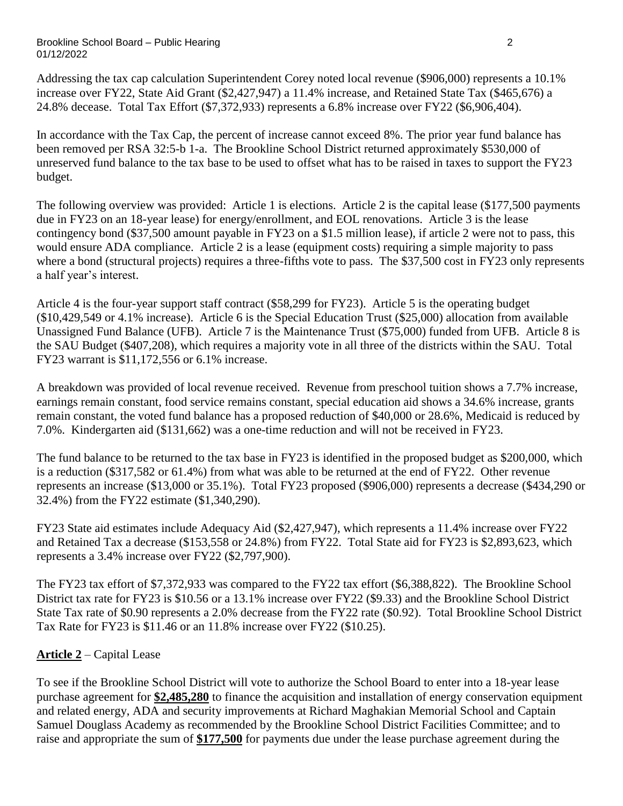#### Brookline School Board – Public Hearing 2 01/12/2022

Addressing the tax cap calculation Superintendent Corey noted local revenue (\$906,000) represents a 10.1% increase over FY22, State Aid Grant (\$2,427,947) a 11.4% increase, and Retained State Tax (\$465,676) a 24.8% decease. Total Tax Effort (\$7,372,933) represents a 6.8% increase over FY22 (\$6,906,404).

In accordance with the Tax Cap, the percent of increase cannot exceed 8%. The prior year fund balance has been removed per RSA 32:5-b 1-a. The Brookline School District returned approximately \$530,000 of unreserved fund balance to the tax base to be used to offset what has to be raised in taxes to support the FY23 budget.

The following overview was provided: Article 1 is elections. Article 2 is the capital lease (\$177,500 payments due in FY23 on an 18-year lease) for energy/enrollment, and EOL renovations. Article 3 is the lease contingency bond (\$37,500 amount payable in FY23 on a \$1.5 million lease), if article 2 were not to pass, this would ensure ADA compliance. Article 2 is a lease (equipment costs) requiring a simple majority to pass where a bond (structural projects) requires a three-fifths vote to pass. The \$37,500 cost in FY23 only represents a half year's interest.

Article 4 is the four-year support staff contract (\$58,299 for FY23). Article 5 is the operating budget (\$10,429,549 or 4.1% increase). Article 6 is the Special Education Trust (\$25,000) allocation from available Unassigned Fund Balance (UFB). Article 7 is the Maintenance Trust (\$75,000) funded from UFB. Article 8 is the SAU Budget (\$407,208), which requires a majority vote in all three of the districts within the SAU. Total FY23 warrant is \$11,172,556 or 6.1% increase.

A breakdown was provided of local revenue received. Revenue from preschool tuition shows a 7.7% increase, earnings remain constant, food service remains constant, special education aid shows a 34.6% increase, grants remain constant, the voted fund balance has a proposed reduction of \$40,000 or 28.6%, Medicaid is reduced by 7.0%. Kindergarten aid (\$131,662) was a one-time reduction and will not be received in FY23.

The fund balance to be returned to the tax base in FY23 is identified in the proposed budget as \$200,000, which is a reduction (\$317,582 or 61.4%) from what was able to be returned at the end of FY22. Other revenue represents an increase (\$13,000 or 35.1%). Total FY23 proposed (\$906,000) represents a decrease (\$434,290 or 32.4%) from the FY22 estimate (\$1,340,290).

FY23 State aid estimates include Adequacy Aid (\$2,427,947), which represents a 11.4% increase over FY22 and Retained Tax a decrease (\$153,558 or 24.8%) from FY22. Total State aid for FY23 is \$2,893,623, which represents a 3.4% increase over FY22 (\$2,797,900).

The FY23 tax effort of \$7,372,933 was compared to the FY22 tax effort (\$6,388,822). The Brookline School District tax rate for FY23 is \$10.56 or a 13.1% increase over FY22 (\$9.33) and the Brookline School District State Tax rate of \$0.90 represents a 2.0% decrease from the FY22 rate (\$0.92). Total Brookline School District Tax Rate for FY23 is \$11.46 or an 11.8% increase over FY22 (\$10.25).

# **Article 2** – Capital Lease

To see if the Brookline School District will vote to authorize the School Board to enter into a 18-year lease purchase agreement for **\$2,485,280** to finance the acquisition and installation of energy conservation equipment and related energy, ADA and security improvements at Richard Maghakian Memorial School and Captain Samuel Douglass Academy as recommended by the Brookline School District Facilities Committee; and to raise and appropriate the sum of **\$177,500** for payments due under the lease purchase agreement during the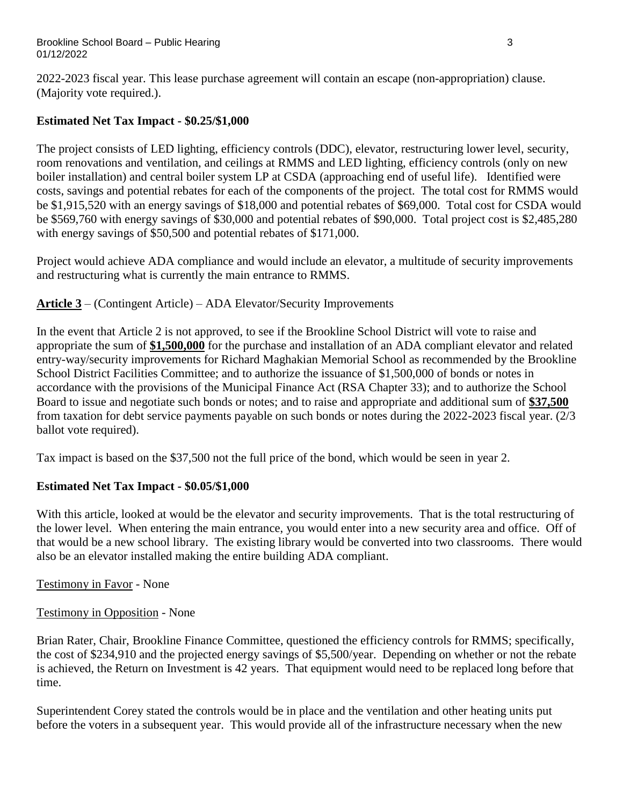2022-2023 fiscal year. This lease purchase agreement will contain an escape (non-appropriation) clause. (Majority vote required.).

## **Estimated Net Tax Impact - \$0.25/\$1,000**

The project consists of LED lighting, efficiency controls (DDC), elevator, restructuring lower level, security, room renovations and ventilation, and ceilings at RMMS and LED lighting, efficiency controls (only on new boiler installation) and central boiler system LP at CSDA (approaching end of useful life). Identified were costs, savings and potential rebates for each of the components of the project. The total cost for RMMS would be \$1,915,520 with an energy savings of \$18,000 and potential rebates of \$69,000. Total cost for CSDA would be \$569,760 with energy savings of \$30,000 and potential rebates of \$90,000. Total project cost is \$2,485,280 with energy savings of \$50,500 and potential rebates of \$171,000.

Project would achieve ADA compliance and would include an elevator, a multitude of security improvements and restructuring what is currently the main entrance to RMMS.

**Article 3** – (Contingent Article) – ADA Elevator/Security Improvements

In the event that Article 2 is not approved, to see if the Brookline School District will vote to raise and appropriate the sum of **\$1,500,000** for the purchase and installation of an ADA compliant elevator and related entry-way/security improvements for Richard Maghakian Memorial School as recommended by the Brookline School District Facilities Committee; and to authorize the issuance of \$1,500,000 of bonds or notes in accordance with the provisions of the Municipal Finance Act (RSA Chapter 33); and to authorize the School Board to issue and negotiate such bonds or notes; and to raise and appropriate and additional sum of **\$37,500** from taxation for debt service payments payable on such bonds or notes during the 2022-2023 fiscal year. (2/3 ballot vote required).

Tax impact is based on the \$37,500 not the full price of the bond, which would be seen in year 2.

## **Estimated Net Tax Impact - \$0.05/\$1,000**

With this article, looked at would be the elevator and security improvements. That is the total restructuring of the lower level. When entering the main entrance, you would enter into a new security area and office. Off of that would be a new school library. The existing library would be converted into two classrooms. There would also be an elevator installed making the entire building ADA compliant.

Testimony in Favor - None

Testimony in Opposition - None

Brian Rater, Chair, Brookline Finance Committee, questioned the efficiency controls for RMMS; specifically, the cost of \$234,910 and the projected energy savings of \$5,500/year. Depending on whether or not the rebate is achieved, the Return on Investment is 42 years. That equipment would need to be replaced long before that time.

Superintendent Corey stated the controls would be in place and the ventilation and other heating units put before the voters in a subsequent year. This would provide all of the infrastructure necessary when the new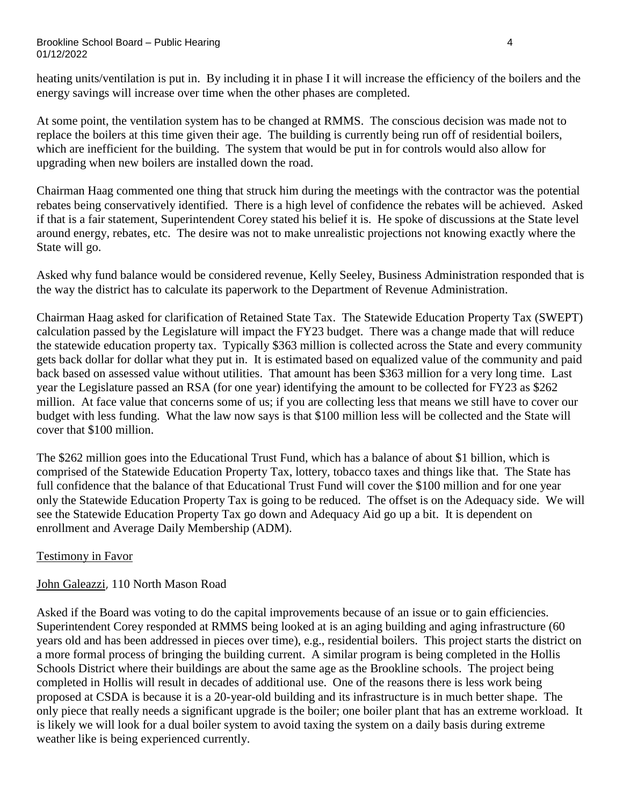#### Brookline School Board – Public Hearing 4 01/12/2022

heating units/ventilation is put in. By including it in phase I it will increase the efficiency of the boilers and the energy savings will increase over time when the other phases are completed.

At some point, the ventilation system has to be changed at RMMS. The conscious decision was made not to replace the boilers at this time given their age. The building is currently being run off of residential boilers, which are inefficient for the building. The system that would be put in for controls would also allow for upgrading when new boilers are installed down the road.

Chairman Haag commented one thing that struck him during the meetings with the contractor was the potential rebates being conservatively identified. There is a high level of confidence the rebates will be achieved. Asked if that is a fair statement, Superintendent Corey stated his belief it is. He spoke of discussions at the State level around energy, rebates, etc. The desire was not to make unrealistic projections not knowing exactly where the State will go.

Asked why fund balance would be considered revenue, Kelly Seeley, Business Administration responded that is the way the district has to calculate its paperwork to the Department of Revenue Administration.

Chairman Haag asked for clarification of Retained State Tax. The Statewide Education Property Tax (SWEPT) calculation passed by the Legislature will impact the FY23 budget. There was a change made that will reduce the statewide education property tax. Typically \$363 million is collected across the State and every community gets back dollar for dollar what they put in. It is estimated based on equalized value of the community and paid back based on assessed value without utilities. That amount has been \$363 million for a very long time. Last year the Legislature passed an RSA (for one year) identifying the amount to be collected for FY23 as \$262 million. At face value that concerns some of us; if you are collecting less that means we still have to cover our budget with less funding. What the law now says is that \$100 million less will be collected and the State will cover that \$100 million.

The \$262 million goes into the Educational Trust Fund, which has a balance of about \$1 billion, which is comprised of the Statewide Education Property Tax, lottery, tobacco taxes and things like that. The State has full confidence that the balance of that Educational Trust Fund will cover the \$100 million and for one year only the Statewide Education Property Tax is going to be reduced. The offset is on the Adequacy side. We will see the Statewide Education Property Tax go down and Adequacy Aid go up a bit. It is dependent on enrollment and Average Daily Membership (ADM).

### Testimony in Favor

### John Galeazzi, 110 North Mason Road

Asked if the Board was voting to do the capital improvements because of an issue or to gain efficiencies. Superintendent Corey responded at RMMS being looked at is an aging building and aging infrastructure (60 years old and has been addressed in pieces over time), e.g., residential boilers. This project starts the district on a more formal process of bringing the building current. A similar program is being completed in the Hollis Schools District where their buildings are about the same age as the Brookline schools. The project being completed in Hollis will result in decades of additional use. One of the reasons there is less work being proposed at CSDA is because it is a 20-year-old building and its infrastructure is in much better shape. The only piece that really needs a significant upgrade is the boiler; one boiler plant that has an extreme workload. It is likely we will look for a dual boiler system to avoid taxing the system on a daily basis during extreme weather like is being experienced currently.